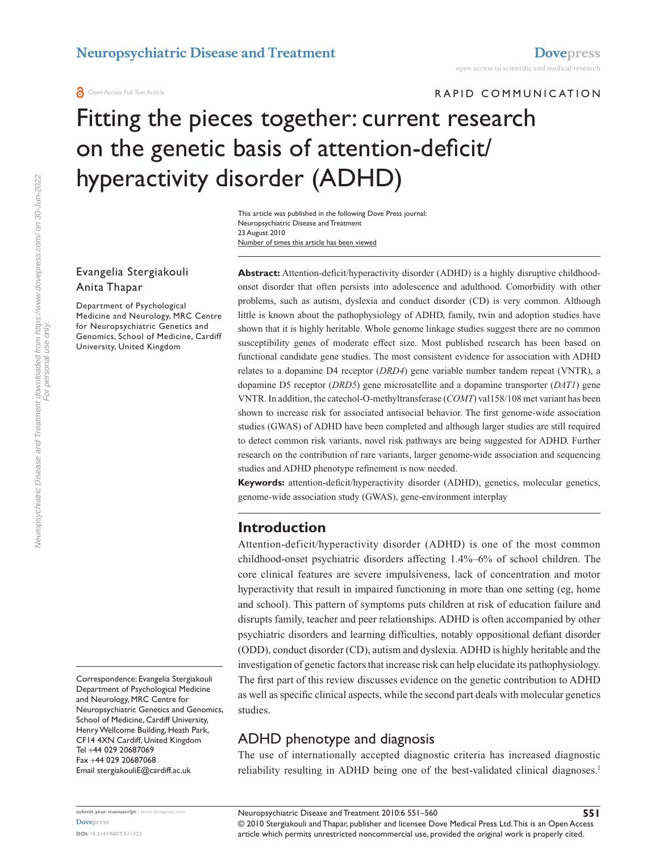RAPID COMMUNICATION

# Fitting the pieces together: current research on the genetic basis of attention-deficit/ hyperactivity disorder (ADHD)

Number of times this article has been viewed This article was published in the following Dove Press journal: Neuropsychiatric Disease and Treatment 23 August 2010

## Evangelia Stergiakouli Anita Thapar

Department of Psychological Medicine and Neurology, MRC Centre for Neuropsychiatric Genetics and Genomics, School of Medicine, Cardiff University, United Kingdom

**Abstract:** Attention-deficit/hyperactivity disorder (ADHD) is a highly disruptive childhoodonset disorder that often persists into adolescence and adulthood. Comorbidity with other problems, such as autism, dyslexia and conduct disorder (CD) is very common. Although little is known about the pathophysiology of ADHD, family, twin and adoption studies have shown that it is highly heritable. Whole genome linkage studies suggest there are no common susceptibility genes of moderate effect size. Most published research has been based on functional candidate gene studies. The most consistent evidence for association with ADHD relates to a dopamine D4 receptor (*DRD4*) gene variable number tandem repeat (VNTR), a dopamine D5 receptor (*DRD5*) gene microsatellite and a dopamine transporter (*DAT1*) gene VNTR. In addition, the catechol-O-methyltransferase (*COMT*) val158/108 met variant has been shown to increase risk for associated antisocial behavior. The first genome-wide association studies (GWAS) of ADHD have been completed and although larger studies are still required to detect common risk variants, novel risk pathways are being suggested for ADHD. Further research on the contribution of rare variants, larger genome-wide association and sequencing studies and ADHD phenotype refinement is now needed.

**Keywords:** attention-deficit/hyperactivity disorder (ADHD), genetics, molecular genetics, genome-wide association study (GWAS), gene-environment interplay

# **Introduction**

Attention-deficit/hyperactivity disorder (ADHD) is one of the most common childhood-onset psychiatric disorders affecting 1.4%–6% of school children. The core clinical features are severe impulsiveness, lack of concentration and motor hyperactivity that result in impaired functioning in more than one setting (eg, home and school). This pattern of symptoms puts children at risk of education failure and disrupts family, teacher and peer relationships. ADHD is often accompanied by other psychiatric disorders and learning difficulties, notably oppositional defiant disorder (ODD), conduct disorder (CD), autism and dyslexia. ADHD is highly heritable and the investigation of genetic factors that increase risk can help elucidate its pathophysiology. The first part of this review discusses evidence on the genetic contribution to ADHD as well as specific clinical aspects, while the second part deals with molecular genetics studies.

# ADHD phenotype and diagnosis

The use of internationally accepted diagnostic criteria has increased diagnostic reliability resulting in ADHD being one of the best-validated clinical diagnoses.<sup>1</sup>

Correspondence: Evangelia Stergiakouli Department of Psychological Medicine and Neurology, MRC Centre for Neuropsychiatric Genetics and Genomics, School of Medicine, Cardiff University, Henry Wellcome Building, Heath Park, CF14 4XN Cardiff, United Kingdom Tel +44 029 20687069 Fax +44 029 20687068 Email<stergiakouliE@cardiff.ac.uk>

**[Dovepress](www.dovepress.com)**

submit your manuscript | <www.dovepress.com>

© 2010 Stergiakouli and Thapar, publisher and licensee Dove Medical Press Ltd. This is an Open Access article which permits unrestricted noncommercial use, provided the original work is properly cited.

Neuropsychiatric Disease and Treatment downloaded from https://www.dovepress.com/ on 30-Jun-2022<br>For personal use only. Neuropsychiatric Disease and Treatment downloaded from https://www.dovepress.com/ on 30-Jun-2022 For personal use only.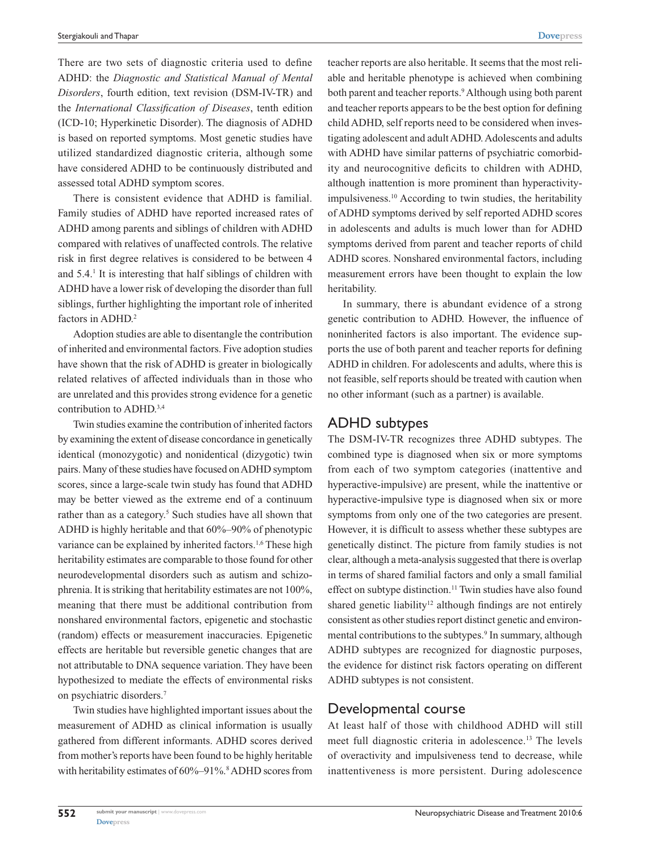There are two sets of diagnostic criteria used to define ADHD: the *Diagnostic and Statistical Manual of Mental Disorders*, fourth edition, text revision (DSM-IV-TR) and the *International Classification of Diseases*, tenth edition (ICD-10; Hyperkinetic Disorder). The diagnosis of ADHD is based on reported symptoms. Most genetic studies have utilized standardized diagnostic criteria, although some have considered ADHD to be continuously distributed and assessed total ADHD symptom scores.

There is consistent evidence that ADHD is familial. Family studies of ADHD have reported increased rates of ADHD among parents and siblings of children with ADHD compared with relatives of unaffected controls. The relative risk in first degree relatives is considered to be between 4 and 5.4.<sup>1</sup> It is interesting that half siblings of children with ADHD have a lower risk of developing the disorder than full siblings, further highlighting the important role of inherited factors in ADHD.<sup>2</sup>

Adoption studies are able to disentangle the contribution of inherited and environmental factors. Five adoption studies have shown that the risk of ADHD is greater in biologically related relatives of affected individuals than in those who are unrelated and this provides strong evidence for a genetic contribution to ADHD.<sup>3,4</sup>

Twin studies examine the contribution of inherited factors by examining the extent of disease concordance in genetically identical (monozygotic) and nonidentical (dizygotic) twin pairs. Many of these studies have focused on ADHD symptom scores, since a large-scale twin study has found that ADHD may be better viewed as the extreme end of a continuum rather than as a category.<sup>5</sup> Such studies have all shown that ADHD is highly heritable and that 60%–90% of phenotypic variance can be explained by inherited factors.<sup>1,6</sup> These high heritability estimates are comparable to those found for other neurodevelopmental disorders such as autism and schizophrenia. It is striking that heritability estimates are not 100%, meaning that there must be additional contribution from nonshared environmental factors, epigenetic and stochastic (random) effects or measurement inaccuracies. Epigenetic effects are heritable but reversible genetic changes that are not attributable to DNA sequence variation. They have been hypothesized to mediate the effects of environmental risks on psychiatric disorders.7

Twin studies have highlighted important issues about the measurement of ADHD as clinical information is usually gathered from different informants. ADHD scores derived from mother's reports have been found to be highly heritable with heritability estimates of 60%-91%.<sup>8</sup> ADHD scores from

teacher reports are also heritable. It seems that the most reliable and heritable phenotype is achieved when combining both parent and teacher reports.<sup>9</sup> Although using both parent and teacher reports appears to be the best option for defining child ADHD, self reports need to be considered when investigating adolescent and adult ADHD. Adolescents and adults with ADHD have similar patterns of psychiatric comorbidity and neurocognitive deficits to children with ADHD, although inattention is more prominent than hyperactivityimpulsiveness.10 According to twin studies, the heritability of ADHD symptoms derived by self reported ADHD scores in adolescents and adults is much lower than for ADHD symptoms derived from parent and teacher reports of child ADHD scores. Nonshared environmental factors, including measurement errors have been thought to explain the low heritability.

In summary, there is abundant evidence of a strong genetic contribution to ADHD. However, the influence of noninherited factors is also important. The evidence supports the use of both parent and teacher reports for defining ADHD in children. For adolescents and adults, where this is not feasible, self reports should be treated with caution when no other informant (such as a partner) is available.

## ADHD subtypes

The DSM-IV-TR recognizes three ADHD subtypes. The combined type is diagnosed when six or more symptoms from each of two symptom categories (inattentive and hyperactive-impulsive) are present, while the inattentive or hyperactive-impulsive type is diagnosed when six or more symptoms from only one of the two categories are present. However, it is difficult to assess whether these subtypes are genetically distinct. The picture from family studies is not clear, although a meta-analysis suggested that there is overlap in terms of shared familial factors and only a small familial effect on subtype distinction.<sup>11</sup> Twin studies have also found shared genetic liability<sup>12</sup> although findings are not entirely consistent as other studies report distinct genetic and environmental contributions to the subtypes.<sup>9</sup> In summary, although ADHD subtypes are recognized for diagnostic purposes, the evidence for distinct risk factors operating on different ADHD subtypes is not consistent.

## Developmental course

At least half of those with childhood ADHD will still meet full diagnostic criteria in adolescence.<sup>13</sup> The levels of overactivity and impulsiveness tend to decrease, while inattentiveness is more persistent. During adolescence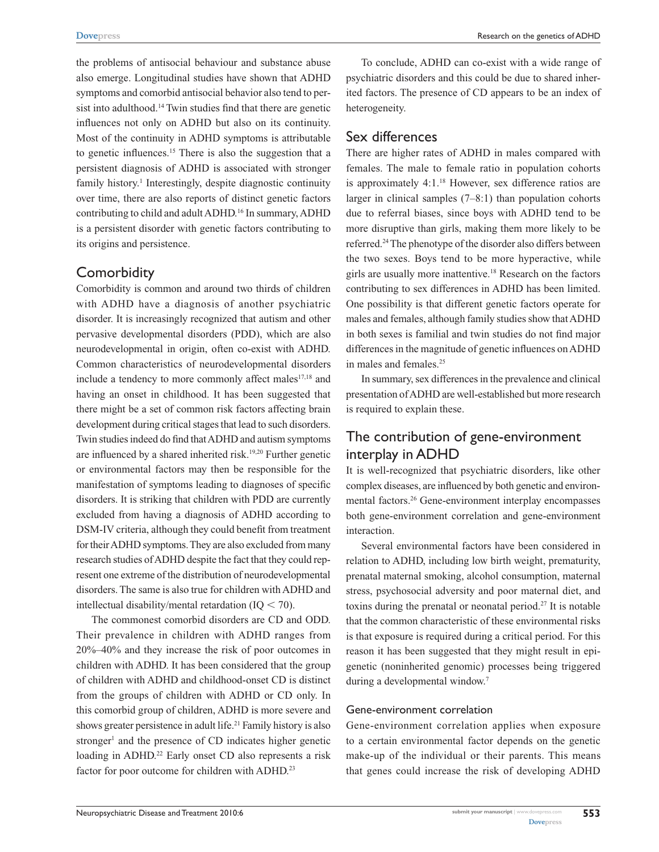the problems of antisocial behaviour and substance abuse also emerge. Longitudinal studies have shown that ADHD symptoms and comorbid antisocial behavior also tend to persist into adulthood.<sup>14</sup> Twin studies find that there are genetic influences not only on ADHD but also on its continuity. Most of the continuity in ADHD symptoms is attributable to genetic influences.15 There is also the suggestion that a persistent diagnosis of ADHD is associated with stronger family history.<sup>1</sup> Interestingly, despite diagnostic continuity over time, there are also reports of distinct genetic factors contributing to child and adult ADHD.<sup>16</sup> In summary, ADHD is a persistent disorder with genetic factors contributing to its origins and persistence.

# **Comorbidity**

Comorbidity is common and around two thirds of children with ADHD have a diagnosis of another psychiatric disorder. It is increasingly recognized that autism and other pervasive developmental disorders (PDD), which are also neurodevelopmental in origin, often co-exist with ADHD. Common characteristics of neurodevelopmental disorders include a tendency to more commonly affect males<sup>17,18</sup> and having an onset in childhood. It has been suggested that there might be a set of common risk factors affecting brain development during critical stages that lead to such disorders. Twin studies indeed do find that ADHD and autism symptoms are influenced by a shared inherited risk.<sup>19,20</sup> Further genetic or environmental factors may then be responsible for the manifestation of symptoms leading to diagnoses of specific disorders. It is striking that children with PDD are currently excluded from having a diagnosis of ADHD according to DSM-IV criteria, although they could benefit from treatment for their ADHD symptoms. They are also excluded from many research studies of ADHD despite the fact that they could represent one extreme of the distribution of neurodevelopmental disorders. The same is also true for children with ADHD and intellectual disability/mental retardation  $(IO < 70)$ .

The commonest comorbid disorders are CD and ODD. Their prevalence in children with ADHD ranges from 20%–40% and they increase the risk of poor outcomes in children with ADHD. It has been considered that the group of children with ADHD and childhood-onset CD is distinct from the groups of children with ADHD or CD only. In this comorbid group of children, ADHD is more severe and shows greater persistence in adult life.<sup>21</sup> Family history is also stronger<sup>1</sup> and the presence of CD indicates higher genetic loading in ADHD.<sup>22</sup> Early onset CD also represents a risk factor for poor outcome for children with ADHD.<sup>23</sup>

To conclude, ADHD can co-exist with a wide range of psychiatric disorders and this could be due to shared inherited factors. The presence of CD appears to be an index of heterogeneity.

## Sex differences

There are higher rates of ADHD in males compared with females. The male to female ratio in population cohorts is approximately 4:1.<sup>18</sup> However, sex difference ratios are larger in clinical samples (7–8:1) than population cohorts due to referral biases, since boys with ADHD tend to be more disruptive than girls, making them more likely to be referred.24 The phenotype of the disorder also differs between the two sexes. Boys tend to be more hyperactive, while girls are usually more inattentive.18 Research on the factors contributing to sex differences in ADHD has been limited. One possibility is that different genetic factors operate for males and females, although family studies show that ADHD in both sexes is familial and twin studies do not find major differences in the magnitude of genetic influences on ADHD in males and females.<sup>25</sup>

In summary, sex differences in the prevalence and clinical presentation of ADHD are well-established but more research is required to explain these.

# The contribution of gene-environment interplay in ADHD

It is well-recognized that psychiatric disorders, like other complex diseases, are influenced by both genetic and environmental factors.26 Gene-environment interplay encompasses both gene-environment correlation and gene-environment interaction.

Several environmental factors have been considered in relation to ADHD, including low birth weight, prematurity, prenatal maternal smoking, alcohol consumption, maternal stress, psychosocial adversity and poor maternal diet, and toxins during the prenatal or neonatal period.<sup>27</sup> It is notable that the common characteristic of these environmental risks is that exposure is required during a critical period. For this reason it has been suggested that they might result in epigenetic (noninherited genomic) processes being triggered during a developmental window.<sup>7</sup>

#### Gene-environment correlation

Gene-environment correlation applies when exposure to a certain environmental factor depends on the genetic make-up of the individual or their parents. This means that genes could increase the risk of developing ADHD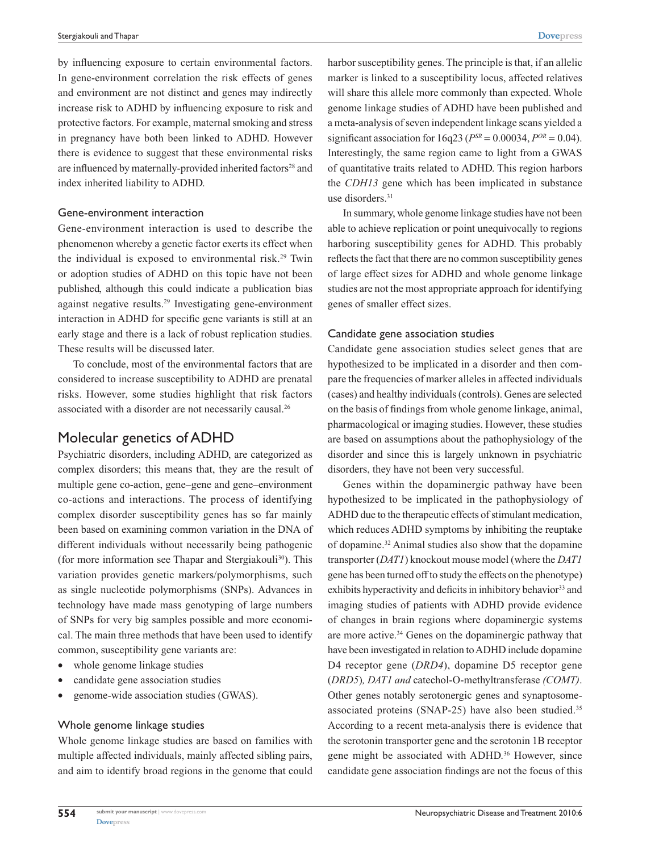by influencing exposure to certain environmental factors. In gene-environment correlation the risk effects of genes and environment are not distinct and genes may indirectly increase risk to ADHD by influencing exposure to risk and protective factors. For example, maternal smoking and stress in pregnancy have both been linked to ADHD. However there is evidence to suggest that these environmental risks are influenced by maternally-provided inherited factors<sup>28</sup> and index inherited liability to ADHD.

#### Gene-environment interaction

Gene-environment interaction is used to describe the phenomenon whereby a genetic factor exerts its effect when the individual is exposed to environmental risk.<sup>29</sup> Twin or adoption studies of ADHD on this topic have not been published, although this could indicate a publication bias against negative results.29 Investigating gene-environment interaction in ADHD for specific gene variants is still at an early stage and there is a lack of robust replication studies. These results will be discussed later.

To conclude, most of the environmental factors that are considered to increase susceptibility to ADHD are prenatal risks. However, some studies highlight that risk factors associated with a disorder are not necessarily causal.26

# Molecular genetics of ADHD

Psychiatric disorders, including ADHD, are categorized as complex disorders; this means that, they are the result of multiple gene co-action, gene–gene and gene–environment co-actions and interactions. The process of identifying complex disorder susceptibility genes has so far mainly been based on examining common variation in the DNA of different individuals without necessarily being pathogenic (for more information see Thapar and Stergiakouli<sup>30</sup>). This variation provides genetic markers/polymorphisms, such as single nucleotide polymorphisms (SNPs). Advances in technology have made mass genotyping of large numbers of SNPs for very big samples possible and more economical. The main three methods that have been used to identify common, susceptibility gene variants are:

- whole genome linkage studies
- candidate gene association studies
- genome-wide association studies (GWAS).

## Whole genome linkage studies

Whole genome linkage studies are based on families with multiple affected individuals, mainly affected sibling pairs, and aim to identify broad regions in the genome that could harbor susceptibility genes. The principle is that, if an allelic marker is linked to a susceptibility locus, affected relatives will share this allele more commonly than expected. Whole genome linkage studies of ADHD have been published and a meta-analysis of seven independent linkage scans yielded a significant association for  $16q23 (P^{SR} = 0.00034, P^{OR} = 0.04)$ . Interestingly, the same region came to light from a GWAS of quantitative traits related to ADHD. This region harbors the *CDH13* gene which has been implicated in substance use disorders.<sup>31</sup>

In summary, whole genome linkage studies have not been able to achieve replication or point unequivocally to regions harboring susceptibility genes for ADHD. This probably reflects the fact that there are no common susceptibility genes of large effect sizes for ADHD and whole genome linkage studies are not the most appropriate approach for identifying genes of smaller effect sizes.

#### Candidate gene association studies

Candidate gene association studies select genes that are hypothesized to be implicated in a disorder and then compare the frequencies of marker alleles in affected individuals (cases) and healthy individuals (controls). Genes are selected on the basis of findings from whole genome linkage, animal, pharmacological or imaging studies. However, these studies are based on assumptions about the pathophysiology of the disorder and since this is largely unknown in psychiatric disorders, they have not been very successful.

Genes within the dopaminergic pathway have been hypothesized to be implicated in the pathophysiology of ADHD due to the therapeutic effects of stimulant medication, which reduces ADHD symptoms by inhibiting the reuptake of dopamine.32 Animal studies also show that the dopamine transporter (*DAT1*) knockout mouse model (where the *DAT1* gene has been turned off to study the effects on the phenotype) exhibits hyperactivity and deficits in inhibitory behavior<sup>33</sup> and imaging studies of patients with ADHD provide evidence of changes in brain regions where dopaminergic systems are more active.34 Genes on the dopaminergic pathway that have been investigated in relation to ADHD include dopamine D4 receptor gene (*DRD4*), dopamine D5 receptor gene (*DRD5*)*, DAT1 and* catechol-O-methyltransferase *(COMT)*. Other genes notably serotonergic genes and synaptosomeassociated proteins (SNAP-25) have also been studied.<sup>35</sup> According to a recent meta-analysis there is evidence that the serotonin transporter gene and the serotonin 1B receptor gene might be associated with ADHD.<sup>36</sup> However, since candidate gene association findings are not the focus of this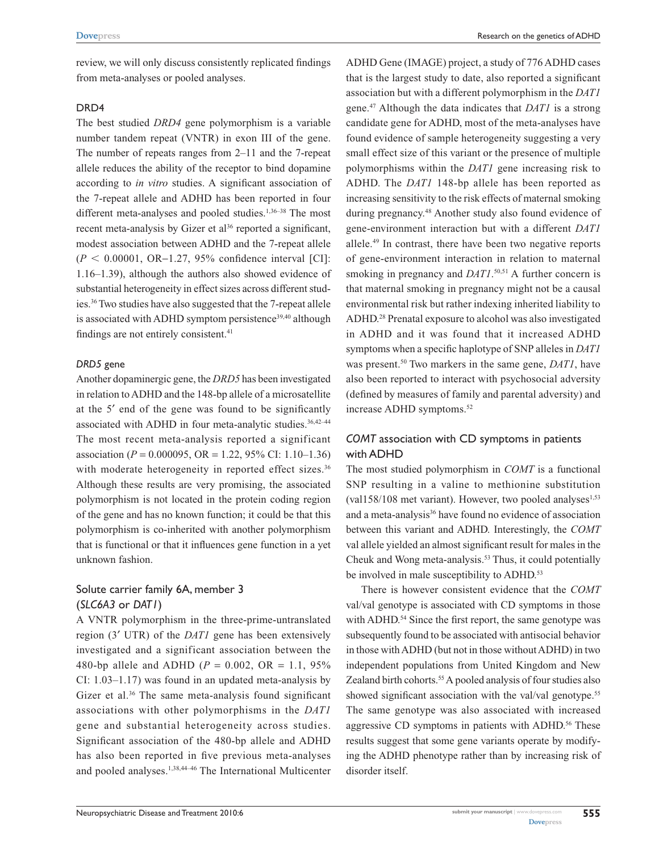review, we will only discuss consistently replicated findings from meta-analyses or pooled analyses.

#### DRD4

The best studied *DRD4* gene polymorphism is a variable number tandem repeat (VNTR) in exon III of the gene. The number of repeats ranges from 2–11 and the 7-repeat allele reduces the ability of the receptor to bind dopamine according to *in vitro* studies. A significant association of the 7-repeat allele and ADHD has been reported in four different meta-analyses and pooled studies.<sup>1,36-38</sup> The most recent meta-analysis by Gizer et al<sup>36</sup> reported a significant, modest association between ADHD and the 7-repeat allele  $(P < 0.00001, \text{ OR}-1.27, 95\% \text{ confidence interval } [CI]$ : 1.16–1.39), although the authors also showed evidence of substantial heterogeneity in effect sizes across different studies.36 Two studies have also suggested that the 7-repeat allele is associated with ADHD symptom persistence<sup>39,40</sup> although findings are not entirely consistent.<sup>41</sup>

#### *DRD5* gene

Another dopaminergic gene, the *DRD5* has been investigated in relation to ADHD and the 148-bp allele of a microsatellite at the 5′ end of the gene was found to be significantly associated with ADHD in four meta-analytic studies.<sup>36,42-44</sup> The most recent meta-analysis reported a significant association (*P* = 0.000095, OR = 1.22, 95% CI: 1.10–1.36) with moderate heterogeneity in reported effect sizes.<sup>36</sup> Although these results are very promising, the associated polymorphism is not located in the protein coding region of the gene and has no known function; it could be that this polymorphism is co-inherited with another polymorphism that is functional or that it influences gene function in a yet unknown fashion.

## Solute carrier family 6A, member 3 (*SLC6A3* or *DAT1*)

A VNTR polymorphism in the three-prime-untranslated region (3′ UTR) of the *DAT1* gene has been extensively investigated and a significant association between the 480-bp allele and ADHD ( $P = 0.002$ , OR = 1.1, 95%) CI: 1.03–1.17) was found in an updated meta-analysis by Gizer et al.<sup>36</sup> The same meta-analysis found significant associations with other polymorphisms in the *DAT1* gene and substantial heterogeneity across studies. Significant association of the 480-bp allele and ADHD has also been reported in five previous meta-analyses and pooled analyses.1,38,44–46 The International Multicenter ADHD Gene (IMAGE) project, a study of 776 ADHD cases that is the largest study to date, also reported a significant association but with a different polymorphism in the *DAT1* gene.47 Although the data indicates that *DAT1* is a strong candidate gene for ADHD, most of the meta-analyses have found evidence of sample heterogeneity suggesting a very small effect size of this variant or the presence of multiple polymorphisms within the *DAT1* gene increasing risk to ADHD. The *DAT1* 148-bp allele has been reported as increasing sensitivity to the risk effects of maternal smoking during pregnancy.<sup>48</sup> Another study also found evidence of gene-environment interaction but with a different *DAT1* allele.49 In contrast, there have been two negative reports of gene-environment interaction in relation to maternal smoking in pregnancy and *DAT1*.<sup>50,51</sup> A further concern is that maternal smoking in pregnancy might not be a causal environmental risk but rather indexing inherited liability to ADHD.28 Prenatal exposure to alcohol was also investigated in ADHD and it was found that it increased ADHD symptoms when a specific haplotype of SNP alleles in *DAT1* was present.50 Two markers in the same gene, *DAT1*, have also been reported to interact with psychosocial adversity (defined by measures of family and parental adversity) and increase ADHD symptoms.<sup>52</sup>

## *COMT* association with CD symptoms in patients with ADHD

The most studied polymorphism in *COMT* is a functional SNP resulting in a valine to methionine substitution (val $158/108$  met variant). However, two pooled analyses<sup>1,53</sup> and a meta-analysis<sup>36</sup> have found no evidence of association between this variant and ADHD. Interestingly, the *COMT* val allele yielded an almost significant result for males in the Cheuk and Wong meta-analysis.53 Thus, it could potentially be involved in male susceptibility to ADHD.<sup>53</sup>

There is however consistent evidence that the *COMT* val/val genotype is associated with CD symptoms in those with ADHD.<sup>54</sup> Since the first report, the same genotype was subsequently found to be associated with antisocial behavior in those with ADHD (but not in those without ADHD) in two independent populations from United Kingdom and New Zealand birth cohorts.<sup>55</sup> A pooled analysis of four studies also showed significant association with the val/val genotype.<sup>55</sup> The same genotype was also associated with increased aggressive CD symptoms in patients with ADHD.<sup>56</sup> These results suggest that some gene variants operate by modifying the ADHD phenotype rather than by increasing risk of disorder itself.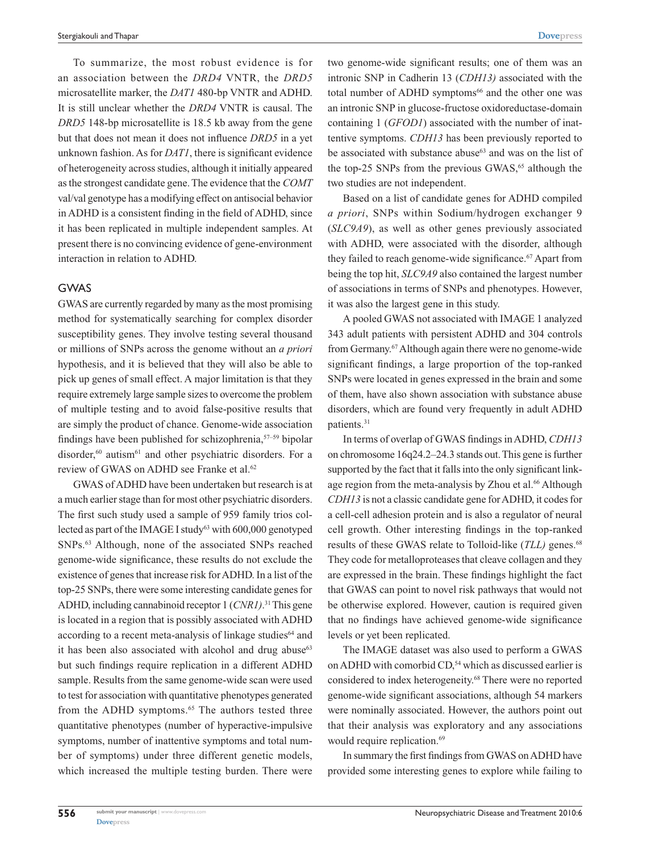To summarize, the most robust evidence is for an association between the *DRD4* VNTR, the *DRD5* microsatellite marker, the *DAT1* 480-bp VNTR and ADHD. It is still unclear whether the *DRD4* VNTR is causal. The *DRD5* 148-bp microsatellite is 18.5 kb away from the gene but that does not mean it does not influence *DRD5* in a yet unknown fashion. As for *DAT1*, there is significant evidence of heterogeneity across studies, although it initially appeared as the strongest candidate gene. The evidence that the *COMT* val/val genotype has a modifying effect on antisocial behavior in ADHD is a consistent finding in the field of ADHD, since it has been replicated in multiple independent samples. At present there is no convincing evidence of gene-environment interaction in relation to ADHD.

#### GWAS

GWAS are currently regarded by many as the most promising method for systematically searching for complex disorder susceptibility genes. They involve testing several thousand or millions of SNPs across the genome without an *a priori* hypothesis, and it is believed that they will also be able to pick up genes of small effect. A major limitation is that they require extremely large sample sizes to overcome the problem of multiple testing and to avoid false-positive results that are simply the product of chance. Genome-wide association findings have been published for schizophrenia,57–59 bipolar disorder,<sup>60</sup> autism<sup>61</sup> and other psychiatric disorders. For a review of GWAS on ADHD see Franke et al.<sup>62</sup>

GWAS of ADHD have been undertaken but research is at a much earlier stage than for most other psychiatric disorders. The first such study used a sample of 959 family trios collected as part of the IMAGE I study $60,000$  genotyped SNPs.63 Although, none of the associated SNPs reached genome-wide significance, these results do not exclude the existence of genes that increase risk for ADHD. In a list of the top-25 SNPs, there were some interesting candidate genes for ADHD, including cannabinoid receptor 1 (*CNR1)*. 31 This gene is located in a region that is possibly associated with ADHD according to a recent meta-analysis of linkage studies<sup>64</sup> and it has been also associated with alcohol and drug abuse<sup>63</sup> but such findings require replication in a different ADHD sample. Results from the same genome-wide scan were used to test for association with quantitative phenotypes generated from the ADHD symptoms.<sup>65</sup> The authors tested three quantitative phenotypes (number of hyperactive-impulsive symptoms, number of inattentive symptoms and total number of symptoms) under three different genetic models, which increased the multiple testing burden. There were

two genome-wide significant results; one of them was an intronic SNP in Cadherin 13 (*CDH13)* associated with the total number of ADHD symptoms<sup>66</sup> and the other one was an intronic SNP in glucose-fructose oxidoreductase-domain containing 1 (*GFOD1*) associated with the number of inattentive symptoms. *CDH13* has been previously reported to be associated with substance abuse<sup>63</sup> and was on the list of the top-25 SNPs from the previous  $GWAS$ ,<sup>65</sup> although the two studies are not independent.

Based on a list of candidate genes for ADHD compiled *a priori*, SNPs within Sodium/hydrogen exchanger 9 (*SLC9A9*), as well as other genes previously associated with ADHD, were associated with the disorder, although they failed to reach genome-wide significance.<sup>67</sup> Apart from being the top hit, *SLC9A9* also contained the largest number of associations in terms of SNPs and phenotypes. However, it was also the largest gene in this study.

A pooled GWAS not associated with IMAGE 1 analyzed 343 adult patients with persistent ADHD and 304 controls from Germany.67 Although again there were no genome-wide significant findings, a large proportion of the top-ranked SNPs were located in genes expressed in the brain and some of them, have also shown association with substance abuse disorders, which are found very frequently in adult ADHD patients.<sup>31</sup>

In terms of overlap of GWAS findings in ADHD, *CDH13* on chromosome 16q24.2–24.3 stands out. This gene is further supported by the fact that it falls into the only significant linkage region from the meta-analysis by Zhou et al.<sup>66</sup> Although *CDH13* is not a classic candidate gene for ADHD, it codes for a cell-cell adhesion protein and is also a regulator of neural cell growth. Other interesting findings in the top-ranked results of these GWAS relate to Tolloid-like (*TLL*) genes.<sup>68</sup> They code for metalloproteases that cleave collagen and they are expressed in the brain. These findings highlight the fact that GWAS can point to novel risk pathways that would not be otherwise explored. However, caution is required given that no findings have achieved genome-wide significance levels or yet been replicated.

The IMAGE dataset was also used to perform a GWAS on ADHD with comorbid CD,<sup>54</sup> which as discussed earlier is considered to index heterogeneity.68 There were no reported genome-wide significant associations, although 54 markers were nominally associated. However, the authors point out that their analysis was exploratory and any associations would require replication.<sup>69</sup>

In summary the first findings from GWAS on ADHD have provided some interesting genes to explore while failing to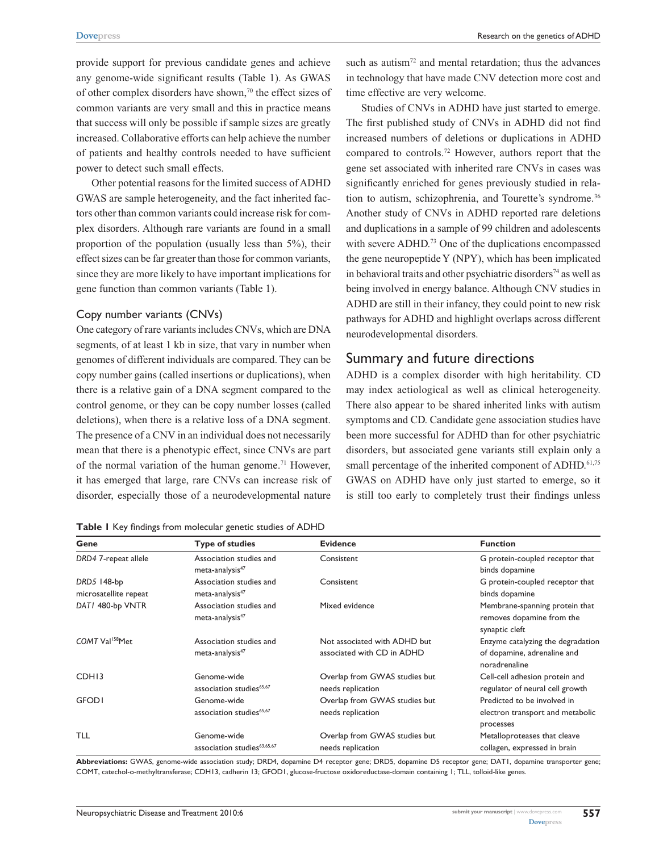provide support for previous candidate genes and achieve any genome-wide significant results (Table 1). As GWAS of other complex disorders have shown,<sup>70</sup> the effect sizes of common variants are very small and this in practice means that success will only be possible if sample sizes are greatly increased. Collaborative efforts can help achieve the number of patients and healthy controls needed to have sufficient power to detect such small effects.

Other potential reasons for the limited success of ADHD GWAS are sample heterogeneity, and the fact inherited factors other than common variants could increase risk for complex disorders. Although rare variants are found in a small proportion of the population (usually less than 5%), their effect sizes can be far greater than those for common variants, since they are more likely to have important implications for gene function than common variants (Table 1).

#### Copy number variants (CNVs)

One category of rare variants includes CNVs, which are DNA segments, of at least 1 kb in size, that vary in number when genomes of different individuals are compared. They can be copy number gains (called insertions or duplications), when there is a relative gain of a DNA segment compared to the control genome, or they can be copy number losses (called deletions), when there is a relative loss of a DNA segment. The presence of a CNV in an individual does not necessarily mean that there is a phenotypic effect, since CNVs are part of the normal variation of the human genome.<sup>71</sup> However, it has emerged that large, rare CNVs can increase risk of disorder, especially those of a neurodevelopmental nature

such as autism<sup>72</sup> and mental retardation; thus the advances in technology that have made CNV detection more cost and time effective are very welcome.

Studies of CNVs in ADHD have just started to emerge. The first published study of CNVs in ADHD did not find increased numbers of deletions or duplications in ADHD compared to controls.72 However, authors report that the gene set associated with inherited rare CNVs in cases was significantly enriched for genes previously studied in relation to autism, schizophrenia, and Tourette's syndrome.<sup>36</sup> Another study of CNVs in ADHD reported rare deletions and duplications in a sample of 99 children and adolescents with severe ADHD.<sup>73</sup> One of the duplications encompassed the gene neuropeptide Y (NPY), which has been implicated in behavioral traits and other psychiatric disorders<sup>74</sup> as well as being involved in energy balance. Although CNV studies in ADHD are still in their infancy, they could point to new risk pathways for ADHD and highlight overlaps across different neurodevelopmental disorders.

## Summary and future directions

ADHD is a complex disorder with high heritability. CD may index aetiological as well as clinical heterogeneity. There also appear to be shared inherited links with autism symptoms and CD. Candidate gene association studies have been more successful for ADHD than for other psychiatric disorders, but associated gene variants still explain only a small percentage of the inherited component of  $ADHD<sub>1,175</sub>$ GWAS on ADHD have only just started to emerge, so it is still too early to completely trust their findings unless

| Gene                                 | <b>Type of studies</b>                                 | <b>Evidence</b>                                            | <b>Function</b>                                                                   |
|--------------------------------------|--------------------------------------------------------|------------------------------------------------------------|-----------------------------------------------------------------------------------|
| DRD4 7-repeat allele                 | Association studies and<br>meta-analysis <sup>47</sup> | Consistent                                                 | G protein-coupled receptor that<br>binds dopamine                                 |
| DRD5 148-bp<br>microsatellite repeat | Association studies and<br>meta-analysis <sup>47</sup> | Consistent                                                 | G protein-coupled receptor that<br>binds dopamine                                 |
| DATI 480-bp VNTR                     | Association studies and<br>meta-analysis <sup>47</sup> | Mixed evidence                                             | Membrane-spanning protein that<br>removes dopamine from the<br>synaptic cleft     |
| COMT Val <sup>158</sup> Met          | Association studies and<br>meta-analysis <sup>47</sup> | Not associated with ADHD but<br>associated with CD in ADHD | Enzyme catalyzing the degradation<br>of dopamine, adrenaline and<br>noradrenaline |
| CDH <sub>13</sub>                    | Genome-wide<br>association studies <sup>65,67</sup>    | Overlap from GWAS studies but<br>needs replication         | Cell-cell adhesion protein and<br>regulator of neural cell growth                 |
| <b>GFODI</b>                         | Genome-wide<br>association studies <sup>65,67</sup>    | Overlap from GWAS studies but<br>needs replication         | Predicted to be involved in<br>electron transport and metabolic<br>processes      |
| <b>TLL</b>                           | Genome-wide<br>association studies <sup>63,65,67</sup> | Overlap from GWAS studies but<br>needs replication         | Metalloproteases that cleave<br>collagen, expressed in brain                      |

**Table 1** Key findings from molecular genetic studies of ADHD

**Abbreviations:** GWAS, genome-wide association study; DRD4, dopamine D4 receptor gene; DRD5, dopamine D5 receptor gene; DAT1, dopamine transporter gene; COMT, catechol-o-methyltransferase; CDH13, cadherin 13; GFOD1, glucose-fructose oxidoreductase-domain containing 1; TLL, tolloid-like genes.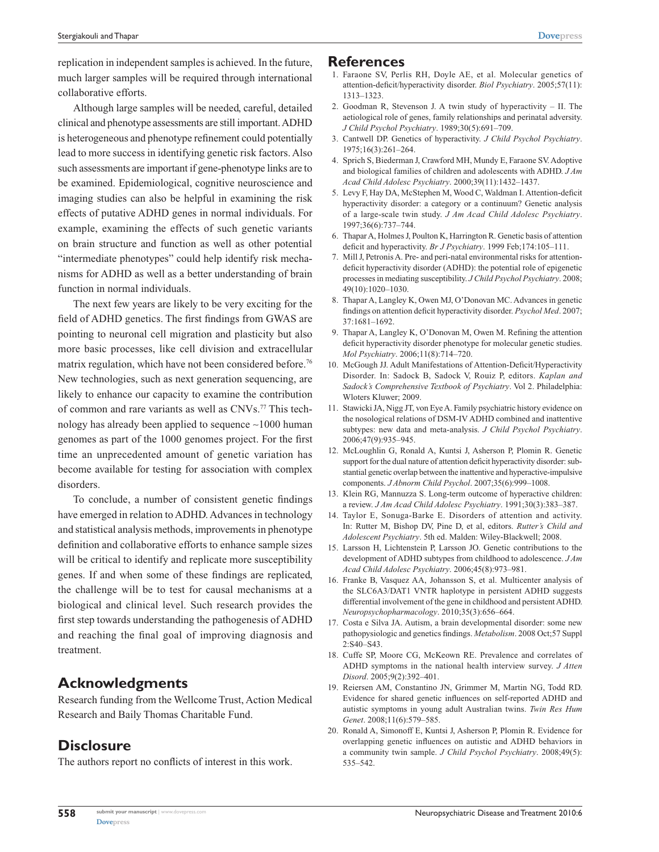replication in independent samples is achieved. In the future, much larger samples will be required through international collaborative efforts.

Although large samples will be needed, careful, detailed clinical and phenotype assessments are still important. ADHD is heterogeneous and phenotype refinement could potentially lead to more success in identifying genetic risk factors. Also such assessments are important if gene-phenotype links are to be examined. Epidemiological, cognitive neuroscience and imaging studies can also be helpful in examining the risk effects of putative ADHD genes in normal individuals. For example, examining the effects of such genetic variants on brain structure and function as well as other potential "intermediate phenotypes" could help identify risk mechanisms for ADHD as well as a better understanding of brain function in normal individuals.

The next few years are likely to be very exciting for the field of ADHD genetics. The first findings from GWAS are pointing to neuronal cell migration and plasticity but also more basic processes, like cell division and extracellular matrix regulation, which have not been considered before.<sup>76</sup> New technologies, such as next generation sequencing, are likely to enhance our capacity to examine the contribution of common and rare variants as well as CNVs.77 This technology has already been applied to sequence ∼1000 human genomes as part of the 1000 genomes project. For the first time an unprecedented amount of genetic variation has become available for testing for association with complex disorders.

To conclude, a number of consistent genetic findings have emerged in relation to ADHD. Advances in technology and statistical analysis methods, improvements in phenotype definition and collaborative efforts to enhance sample sizes will be critical to identify and replicate more susceptibility genes. If and when some of these findings are replicated, the challenge will be to test for causal mechanisms at a biological and clinical level. Such research provides the first step towards understanding the pathogenesis of ADHD and reaching the final goal of improving diagnosis and treatment.

# **Acknowledgments**

Research funding from the Wellcome Trust, Action Medical Research and Baily Thomas Charitable Fund.

# **Disclosure**

The authors report no conflicts of interest in this work.

## **References**

- 1. Faraone SV, Perlis RH, Doyle AE, et al. Molecular genetics of attention-deficit/hyperactivity disorder. *Biol Psychiatry*. 2005;57(11): 1313–1323.
- 2. Goodman R, Stevenson J. A twin study of hyperactivity II. The aetiological role of genes, family relationships and perinatal adversity. *J Child Psychol Psychiatry*. 1989;30(5):691–709.
- 3. Cantwell DP. Genetics of hyperactivity. *J Child Psychol Psychiatry*. 1975;16(3):261–264.
- 4. Sprich S, Biederman J, Crawford MH, Mundy E, Faraone SV. Adoptive and biological families of children and adolescents with ADHD. *J Am Acad Child Adolesc Psychiatry*. 2000;39(11):1432–1437.
- 5. Levy F, Hay DA, McStephen M, Wood C, Waldman I. Attention-deficit hyperactivity disorder: a category or a continuum? Genetic analysis of a large-scale twin study. *J Am Acad Child Adolesc Psychiatry*. 1997;36(6):737–744.
- 6. Thapar A, Holmes J, Poulton K, Harrington R. Genetic basis of attention deficit and hyperactivity. *Br J Psychiatry*. 1999 Feb;174:105–111.
- 7. Mill J, Petronis A. Pre- and peri-natal environmental risks for attentiondeficit hyperactivity disorder (ADHD): the potential role of epigenetic processes in mediating susceptibility. *J Child Psychol Psychiatry*. 2008; 49(10):1020–1030.
- 8. Thapar A, Langley K, Owen MJ, O'Donovan MC. Advances in genetic findings on attention deficit hyperactivity disorder. *Psychol Med*. 2007; 37:1681–1692.
- 9. Thapar A, Langley K, O'Donovan M, Owen M. Refining the attention deficit hyperactivity disorder phenotype for molecular genetic studies. *Mol Psychiatry*. 2006;11(8):714–720.
- 10. McGough JJ. Adult Manifestations of Attention-Deficit/Hyperactivity Disorder. In: Sadock B, Sadock V, Rouiz P, editors. *Kaplan and Sadock's Comprehensive Textbook of Psychiatry*. Vol 2. Philadelphia: Wloters Kluwer; 2009.
- 11. Stawicki JA, Nigg JT, von Eye A. Family psychiatric history evidence on the nosological relations of DSM-IV ADHD combined and inattentive subtypes: new data and meta-analysis. *J Child Psychol Psychiatry*. 2006;47(9):935–945.
- 12. McLoughlin G, Ronald A, Kuntsi J, Asherson P, Plomin R. Genetic support for the dual nature of attention deficit hyperactivity disorder: substantial genetic overlap between the inattentive and hyperactive-impulsive components. *J Abnorm Child Psychol*. 2007;35(6):999–1008.
- 13. Klein RG, Mannuzza S. Long-term outcome of hyperactive children: a review. *J Am Acad Child Adolesc Psychiatry*. 1991;30(3):383–387.
- 14. Taylor E, Sonuga-Barke E. Disorders of attention and activity. In: Rutter M, Bishop DV, Pine D, et al, editors. *Rutter's Child and Adolescent Psychiatry*. 5th ed. Malden: Wiley-Blackwell; 2008.
- 15. Larsson H, Lichtenstein P, Larsson JO. Genetic contributions to the development of ADHD subtypes from childhood to adolescence. *J Am Acad Child Adolesc Psychiatry*. 2006;45(8):973–981.
- 16. Franke B, Vasquez AA, Johansson S, et al. Multicenter analysis of the SLC6A3/DAT1 VNTR haplotype in persistent ADHD suggests differential involvement of the gene in childhood and persistent ADHD. *Neuropsychopharmacology*. 2010;35(3):656–664.
- 17. Costa e Silva JA. Autism, a brain developmental disorder: some new pathopysiologic and genetics findings. *Metabolism*. 2008 Oct;57 Suppl 2:S40–S43.
- 18. Cuffe SP, Moore CG, McKeown RE. Prevalence and correlates of ADHD symptoms in the national health interview survey. *J Atten Disord*. 2005;9(2):392–401.
- 19. Reiersen AM, Constantino JN, Grimmer M, Martin NG, Todd RD. Evidence for shared genetic influences on self-reported ADHD and autistic symptoms in young adult Australian twins. *Twin Res Hum Genet*. 2008;11(6):579–585.
- 20. Ronald A, Simonoff E, Kuntsi J, Asherson P, Plomin R. Evidence for overlapping genetic influences on autistic and ADHD behaviors in a community twin sample. *J Child Psychol Psychiatry*. 2008;49(5): 535–542.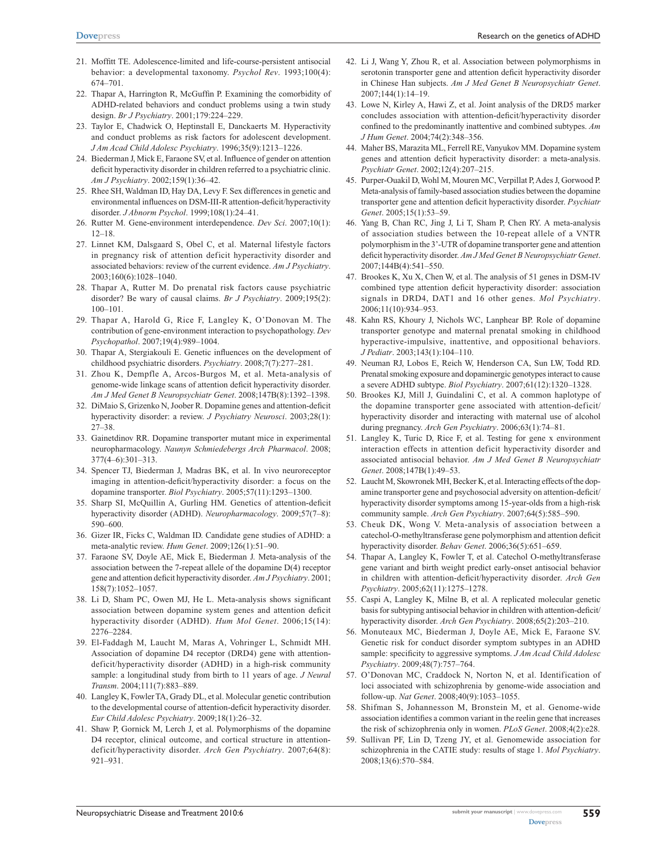- 21. Moffitt TE. Adolescence-limited and life-course-persistent antisocial behavior: a developmental taxonomy. *Psychol Rev*. 1993;100(4): 674–701.
- 22. Thapar A, Harrington R, McGuffin P. Examining the comorbidity of ADHD-related behaviors and conduct problems using a twin study design. *Br J Psychiatry*. 2001;179:224–229.
- 23. Taylor E, Chadwick O, Heptinstall E, Danckaerts M. Hyperactivity and conduct problems as risk factors for adolescent development. *J Am Acad Child Adolesc Psychiatry*. 1996;35(9):1213–1226.
- 24. Biederman J, Mick E, Faraone SV, et al. Influence of gender on attention deficit hyperactivity disorder in children referred to a psychiatric clinic. *Am J Psychiatry*. 2002;159(1):36–42.
- 25. Rhee SH, Waldman ID, Hay DA, Levy F. Sex differences in genetic and environmental influences on DSM-III-R attention-deficit/hyperactivity disorder. *J Abnorm Psychol*. 1999;108(1):24–41.
- 26. Rutter M. Gene-environment interdependence. *Dev Sci*. 2007;10(1): 12–18.
- 27. Linnet KM, Dalsgaard S, Obel C, et al. Maternal lifestyle factors in pregnancy risk of attention deficit hyperactivity disorder and associated behaviors: review of the current evidence. *Am J Psychiatry*. 2003;160(6):1028–1040.
- 28. Thapar A, Rutter M. Do prenatal risk factors cause psychiatric disorder? Be wary of causal claims. *Br J Psychiatry*. 2009;195(2): 100–101.
- 29. Thapar A, Harold G, Rice F, Langley K, O'Donovan M. The contribution of gene-environment interaction to psychopathology. *Dev Psychopathol*. 2007;19(4):989–1004.
- 30. Thapar A, Stergiakouli E. Genetic influences on the development of childhood psychiatric disorders. *Psychiatry*. 2008;7(7):277–281.
- 31. Zhou K, Dempfle A, Arcos-Burgos M, et al. Meta-analysis of genome-wide linkage scans of attention deficit hyperactivity disorder. *Am J Med Genet B Neuropsychiatr Genet*. 2008;147B(8):1392–1398.
- 32. DiMaio S, Grizenko N, Joober R. Dopamine genes and attention-deficit hyperactivity disorder: a review. *J Psychiatry Neurosci*. 2003;28(1): 27–38.
- 33. Gainetdinov RR. Dopamine transporter mutant mice in experimental neuropharmacology. *Naunyn Schmiedebergs Arch Pharmacol*. 2008; 377(4–6):301–313.
- 34. Spencer TJ, Biederman J, Madras BK, et al. In vivo neuroreceptor imaging in attention-deficit/hyperactivity disorder: a focus on the dopamine transporter. *Biol Psychiatry*. 2005;57(11):1293–1300.
- 35. Sharp SI, McQuillin A, Gurling HM. Genetics of attention-deficit hyperactivity disorder (ADHD). *Neuropharmacology*. 2009;57(7–8): 590–600.
- 36. Gizer IR, Ficks C, Waldman ID. Candidate gene studies of ADHD: a meta-analytic review. *Hum Genet*. 2009;126(1):51–90.
- 37. Faraone SV, Doyle AE, Mick E, Biederman J. Meta-analysis of the association between the 7-repeat allele of the dopamine D(4) receptor gene and attention deficit hyperactivity disorder. *Am J Psychiatry*. 2001; 158(7):1052–1057.
- 38. Li D, Sham PC, Owen MJ, He L. Meta-analysis shows significant association between dopamine system genes and attention deficit hyperactivity disorder (ADHD). *Hum Mol Genet*. 2006;15(14): 2276–2284.
- 39. El-Faddagh M, Laucht M, Maras A, Vohringer L, Schmidt MH. Association of dopamine D4 receptor (DRD4) gene with attentiondeficit/hyperactivity disorder (ADHD) in a high-risk community sample: a longitudinal study from birth to 11 years of age. *J Neural Transm*. 2004;111(7):883–889.
- 40. Langley K, Fowler TA, Grady DL, et al. Molecular genetic contribution to the developmental course of attention-deficit hyperactivity disorder. *Eur Child Adolesc Psychiatry*. 2009;18(1):26–32.
- 41. Shaw P, Gornick M, Lerch J, et al. Polymorphisms of the dopamine D4 receptor, clinical outcome, and cortical structure in attentiondeficit/hyperactivity disorder. *Arch Gen Psychiatry*. 2007;64(8): 921–931.
- 42. Li J, Wang Y, Zhou R, et al. Association between polymorphisms in serotonin transporter gene and attention deficit hyperactivity disorder in Chinese Han subjects. *Am J Med Genet B Neuropsychiatr Genet*. 2007;144(1):14–19.
- 43. Lowe N, Kirley A, Hawi Z, et al. Joint analysis of the DRD5 marker concludes association with attention-deficit/hyperactivity disorder confined to the predominantly inattentive and combined subtypes. *Am J Hum Genet*. 2004;74(2):348–356.
- 44. Maher BS, Marazita ML, Ferrell RE, Vanyukov MM. Dopamine system genes and attention deficit hyperactivity disorder: a meta-analysis. *Psychiatr Genet*. 2002;12(4):207–215.
- 45. Purper-Ouakil D, Wohl M, Mouren MC, Verpillat P, Ades J, Gorwood P. Meta-analysis of family-based association studies between the dopamine transporter gene and attention deficit hyperactivity disorder. *Psychiatr Genet*. 2005;15(1):53–59.
- 46. Yang B, Chan RC, Jing J, Li T, Sham P, Chen RY. A meta-analysis of association studies between the 10-repeat allele of a VNTR polymorphism in the 3'-UTR of dopamine transporter gene and attention deficit hyperactivity disorder. *Am J Med Genet B Neuropsychiatr Genet*. 2007;144B(4):541–550.
- 47. Brookes K, Xu X, Chen W, et al. The analysis of 51 genes in DSM-IV combined type attention deficit hyperactivity disorder: association signals in DRD4, DAT1 and 16 other genes. *Mol Psychiatry*. 2006;11(10):934–953.
- 48. Kahn RS, Khoury J, Nichols WC, Lanphear BP. Role of dopamine transporter genotype and maternal prenatal smoking in childhood hyperactive-impulsive, inattentive, and oppositional behaviors. *J Pediatr*. 2003;143(1):104–110.
- 49. Neuman RJ, Lobos E, Reich W, Henderson CA, Sun LW, Todd RD. Prenatal smoking exposure and dopaminergic genotypes interact to cause a severe ADHD subtype. *Biol Psychiatry*. 2007;61(12):1320–1328.
- 50. Brookes KJ, Mill J, Guindalini C, et al. A common haplotype of the dopamine transporter gene associated with attention-deficit/ hyperactivity disorder and interacting with maternal use of alcohol during pregnancy. *Arch Gen Psychiatry*. 2006;63(1):74–81.
- 51. Langley K, Turic D, Rice F, et al. Testing for gene x environment interaction effects in attention deficit hyperactivity disorder and associated antisocial behavior. *Am J Med Genet B Neuropsychiatr Genet*. 2008;147B(1):49–53.
- 52. Laucht M, Skowronek MH, Becker K, et al. Interacting effects of the dopamine transporter gene and psychosocial adversity on attention-deficit/ hyperactivity disorder symptoms among 15-year-olds from a high-risk community sample. *Arch Gen Psychiatry*. 2007;64(5):585–590.
- 53. Cheuk DK, Wong V. Meta-analysis of association between a catechol-O-methyltransferase gene polymorphism and attention deficit hyperactivity disorder. *Behav Genet*. 2006;36(5):651–659.
- 54. Thapar A, Langley K, Fowler T, et al. Catechol O-methyltransferase gene variant and birth weight predict early-onset antisocial behavior in children with attention-deficit/hyperactivity disorder. *Arch Gen Psychiatry*. 2005;62(11):1275–1278.
- 55. Caspi A, Langley K, Milne B, et al. A replicated molecular genetic basis for subtyping antisocial behavior in children with attention-deficit/ hyperactivity disorder. *Arch Gen Psychiatry*. 2008;65(2):203–210.
- 56. Monuteaux MC, Biederman J, Doyle AE, Mick E, Faraone SV. Genetic risk for conduct disorder symptom subtypes in an ADHD sample: specificity to aggressive symptoms. *J Am Acad Child Adolesc Psychiatry*. 2009;48(7):757–764.
- 57. O'Donovan MC, Craddock N, Norton N, et al. Identification of loci associated with schizophrenia by genome-wide association and follow-up. *Nat Genet*. 2008;40(9):1053–1055.
- 58. Shifman S, Johannesson M, Bronstein M, et al. Genome-wide association identifies a common variant in the reelin gene that increases the risk of schizophrenia only in women. *PLoS Genet*. 2008;4(2):e28.
- 59. Sullivan PF, Lin D, Tzeng JY, et al. Genomewide association for schizophrenia in the CATIE study: results of stage 1. *Mol Psychiatry*. 2008;13(6):570–584.